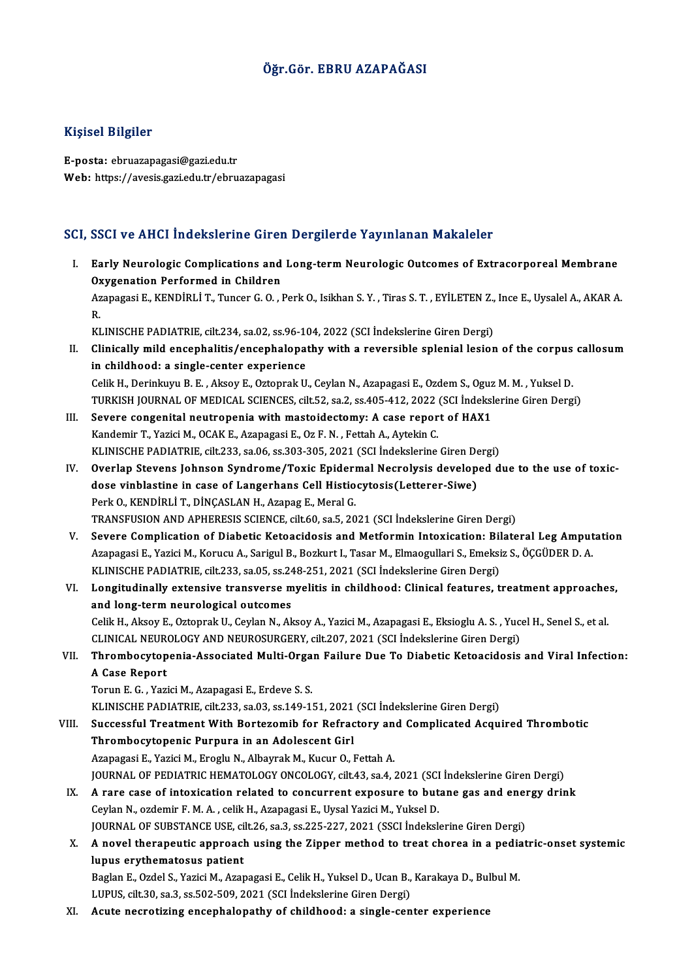### Öğr.Gör. EBRU AZAPAĞASI

#### Kişisel Bilgiler

E-posta: ebruazapagasi@gazi.edu.tr Web: https://avesis.gazi.edu.tr/ebruazapagasi

#### SCI, SSCI ve AHCI İndekslerine Giren Dergilerde Yayınlanan Makaleler

CI, SSCI ve AHCI İndekslerine Giren Dergilerde Yayınlanan Makaleler<br>I. Early Neurologic Complications and Long-term Neurologic Outcomes of Extracorporeal Membrane<br>Ovygenation Performed in Children Boot To the Children<br>Early Neurologic Complications and<br>Oxygenation Performed in Children<br>Aranagasi E. KENDIBLLT, Tunger C.O. Early Neurologic Complications and Long-term Neurologic Outcomes of Extracorporeal Membrane<br>Oxygenation Performed in Children<br>Azapagasi E., KENDİRLİ T., Tuncer G. O. , Perk O., Isikhan S. Y. , Tiras S. T. , EYİLETEN Z., In 0x<br>Az<br>R. Azapagasi E., KENDİRLİ T., Tuncer G. O. , Perk O., Isikhan S. Y. , Tiras S. T. , EYİLETEN Z.,<br>R.<br>KLINISCHE PADIATRIE, cilt.234, sa.02, ss.96-104, 2022 (SCI İndekslerine Giren Dergi)<br>Clinisally mild anaanhalitis (anaanhalan

KLINISCHE PADIATRIE, cilt.234, sa.02, ss.96-104, 2022 (SCI İndekslerine Giren Dergi)

R.<br>KLINISCHE PADIATRIE, cilt.234, sa.02, ss.96-104, 2022 (SCI İndekslerine Giren Dergi)<br>II. Clinically mild encephalitis/encephalopathy with a reversible splenial lesion of the corpus callosum<br>in childhood: a single-center CelikH.,DerinkuyuB.E. ,AksoyE.,OztoprakU.,CeylanN.,AzapagasiE.,OzdemS.,OguzM.M. ,YukselD. in childhood: a single-center experience<br>Celik H., Derinkuyu B. E. , Aksoy E., Oztoprak U., Ceylan N., Azapagasi E., Ozdem S., Oguz M. M. , Yuksel D.<br>TURKISH JOURNAL OF MEDICAL SCIENCES, cilt.52, sa.2, ss.405-412, 2022 (SC

- Celik H., Derinkuyu B. E., Aksoy E., Oztoprak U., Ceylan N., Azapagasi E., Ozdem S., Oguz<br>TURKISH JOURNAL OF MEDICAL SCIENCES, cilt.52, sa.2, ss.405-412, 2022 (SCI İndeksl<br>III. Severe congenital neutropenia with mastoidect TURKISH JOURNAL OF MEDICAL SCIENCES, cilt.52, sa.2, ss.405-412, 2022<br>Severe congenital neutropenia with mastoidectomy: A case repor<br>Kandemir T., Yazici M., OCAK E., Azapagasi E., Oz F. N. , Fettah A., Aytekin C.<br>KLINISCHE Severe congenital neutropenia with mastoidectomy: A case report of HAX1<br>Kandemir T., Yazici M., OCAK E., Azapagasi E., Oz F. N. , Fettah A., Aytekin C.<br>KLINISCHE PADIATRIE, cilt.233, sa.06, ss.303-305, 2021 (SCI İndeksleri
- Kandemir T., Yazici M., OCAK E., Azapagasi E., Oz F. N. , Fettah A., Aytekin C.<br>KLINISCHE PADIATRIE, cilt.233, sa.06, ss.303-305, 2021 (SCI Indekslerine Giren Dergi)<br>IV. Overlap Stevens Johnson Syndrome/Toxic Epidermal Nec KLINISCHE PADIATRIE, cilt.233, sa.06, ss.303-305, 2021 (SCI İndekslerine Giren De<br>Overlap Stevens Johnson Syndrome/Toxic Epidermal Necrolysis develop<br>dose vinblastine in case of Langerhans Cell Histiocytosis(Letterer-Siwe) Perk O., KENDİRLİ T., DİNÇASLAN H., Azapag E., Meral G. TRANSFUSIONANDAPHERESIS SCIENCE, cilt.60, sa.5,2021 (SCI İndekslerineGirenDergi)
- V. Severe Complication of Diabetic Ketoacidosis and Metformin Intoxication: Bilateral Leg Amputation TRANSFUSION AND APHERESIS SCIENCE, cilt.60, sa.5, 2021 (SCI İndekslerine Giren Dergi)<br>Severe Complication of Diabetic Ketoacidosis and Metformin Intoxication: Bilateral Leg Amput<br>Azapagasi E., Yazici M., Korucu A., Sarigul Severe Complication of Diabetic Ketoacidosis and Metformin Intoxication: Bil<br>Azapagasi E., Yazici M., Korucu A., Sarigul B., Bozkurt I., Tasar M., Elmaogullari S., Emeksi<br>KLINISCHE PADIATRIE, cilt.233, sa.05, ss.248-251, 2 KLINISCHE PADIATRIE, cilt.233, sa.05, ss.248-251, 2021 (SCI İndekslerine Giren Dergi)
- VI. Longitudinally extensive transverse myelitis in childhood: Clinical features, treatment approaches, and long-term neurological outcomes Longitudinally extensive transverse myelitis in childhood: Clinical features, treatment approache<br>and long-term neurological outcomes<br>Celik H., Aksoy E., Oztoprak U., Ceylan N., Aksoy A., Yazici M., Azapagasi E., Eksioglu and long-term neurological outcomes<br>Celik H., Aksoy E., Oztoprak U., Ceylan N., Aksoy A., Yazici M., Azapagasi E., Eksioglu A. S. , Yuco<br>CLINICAL NEUROLOGY AND NEUROSURGERY, cilt.207, 2021 (SCI İndekslerine Giren Dergi)<br>Th Celik H., Aksoy E., Oztoprak U., Ceylan N., Aksoy A., Yazici M., Azapagasi E., Eksioglu A. S. , Yucel H., Senel S., et al.<br>CLINICAL NEUROLOGY AND NEUROSURGERY, cilt.207, 2021 (SCI İndekslerine Giren Dergi)<br>VII. Thrombo

## CLINICAL NEURO<br>Thrombocytop<br>A Case Report<br>Tomm E C - You Thrombocytopenia-Associated Multi-Orga<br>A Case Report<br>Torun E. G. , Yazici M., Azapagasi E., Erdeve S. S.<br>VLINISCHE BADIATRIE, silt 222, 82.02, 83.140.1. A Case Report<br>Torun E. G. , Yazici M., Azapagasi E., Erdeve S. S.<br>KLINISCHE PADIATRIE, cilt.233, sa.03, ss.149-151, 2021 (SCI İndekslerine Giren Dergi)<br>Sugaeaaful Treatment With Bortaromih for Bofrastoru and Complianted As

Torun E. G. , Yazici M., Azapagasi E., Erdeve S. S.<br>KLINISCHE PADIATRIE, cilt.233, sa.03, ss.149-151, 2021 (SCI İndekslerine Giren Dergi)<br>VIII. Successful Treatment With Bortezomib for Refractory and Complicated Acquired T KLINISCHE PADIATRIE, cilt.233, sa.03, ss.149-151, 2021<br>Successful Treatment With Bortezomib for Refract<br>Thrombocytopenic Purpura in an Adolescent Girl<br>Aranagasi E. Varisi M. Enagly N. Albaynak M. Kugur O. I Successful Treatment With Bortezomib for Refractory an<br>Thrombocytopenic Purpura in an Adolescent Girl<br>Azapagasi E., Yazici M., Eroglu N., Albayrak M., Kucur O., Fettah A.<br>JOURNAL OF PEDIATRIC HEMATOLOCY ONCOLOCY gilt 43, 2 Thrombocytopenic Purpura in an Adolescent Girl<br>Azapagasi E., Yazici M., Eroglu N., Albayrak M., Kucur O., Fettah A.<br>JOURNAL OF PEDIATRIC HEMATOLOGY ONCOLOGY, cilt.43, sa.4, 2021 (SCI İndekslerine Giren Dergi)<br>A rare sase o Azapagasi E., Yazici M., Eroglu N., Albayrak M., Kucur O., Fettah A.<br>JOURNAL OF PEDIATRIC HEMATOLOGY ONCOLOGY, cilt.43, sa.4, 2021 (SCI İndekslerine Giren Dergi)<br>IX. A rare case of intoxication related to concurrent exposu JOURNAL OF PEDIATRIC HEMATOLOGY ONCOLOGY, cilt.43, sa.4, 2021 (SCI<br>A rare case of intoxication related to concurrent exposure to but<br>Ceylan N., ozdemir F. M. A. , celik H., Azapagasi E., Uysal Yazici M., Yuksel D.<br>JOUPNAL A rare case of intoxication related to concurrent exposure to butane gas and ener<br>Ceylan N., ozdemir F. M. A. , celik H., Azapagasi E., Uysal Yazici M., Yuksel D.<br>JOURNAL OF SUBSTANCE USE, cilt.26, sa.3, ss.225-227, 2021 (

Ceylan N., ozdemir F. M. A. , celik H., Azapagasi E., Uysal Yazici M., Yuksel D.<br>JOURNAL OF SUBSTANCE USE, cilt.26, sa.3, ss.225-227, 2021 (SSCI İndekslerine Giren Dergi)<br>X. A novel therapeutic approach using the Zipper me JOURNAL OF SUBSTANCE USE, ci<br>A novel therapeutic approacl<br>lupus erythematosus patient<br>Paglap E. Ordel S. Variei M. Ages A novel therapeutic approach using the Zipper method to treat chorea in a pedia<br>lupus erythematosus patient<br>Baglan E., Ozdel S., Yazici M., Azapagasi E., Celik H., Yuksel D., Ucan B., Karakaya D., Bulbul M.<br>UIBUS citt 30,

lupus erythematosus patient<br>Baglan E., Ozdel S., Yazici M., Azapagasi E., Celik H., Yuksel D., Ucan B., Karakaya D., Bulbul M.<br>LUPUS, cilt.30, sa.3, ss.502-509, 2021 (SCI İndekslerine Giren Dergi)

XI. Acute necrotizing encephalopathy of childhood: a single-center experience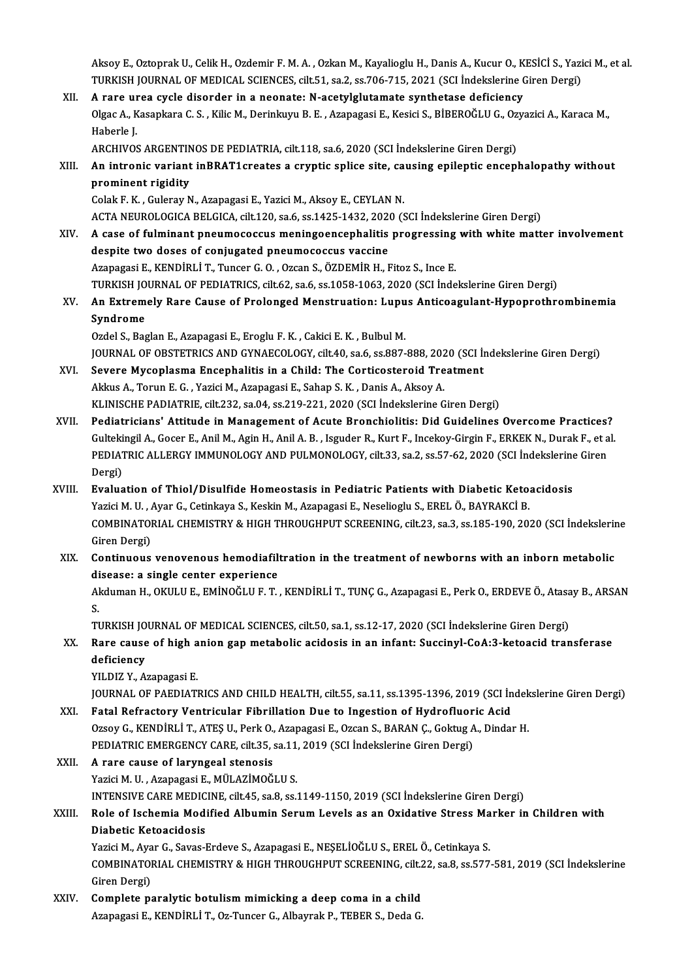Aksoy E., Oztoprak U., Celik H., Ozdemir F. M. A. , Ozkan M., Kayalioglu H., Danis A., Kucur O., KESİCİ S., Yazici M., et al.<br>TURKISH JOURNAL OF MEDICAL SCIENCES. silt 51, 82,2, 83,706,715, 2021,(SCLİndekalerine Ginen Ders Aksoy E., Oztoprak U., Celik H., Ozdemir F. M. A. , Ozkan M., Kayalioglu H., Danis A., Kucur O., KESİCİ S., Yazi<br>TURKISH JOURNAL OF MEDICAL SCIENCES, cilt.51, sa.2, ss.706-715, 2021 (SCI İndekslerine Giren Dergi)<br>A rana ur Aksoy E., Oztoprak U., Celik H., Ozdemir F. M. A., Ozkan M., Kayalioglu H., Danis A., Kucur O., K<br>TURKISH JOURNAL OF MEDICAL SCIENCES, cilt.51, sa.2, ss.706-715, 2021 (SCI İndekslerine (<br>XII. A rare urea cycle disorder in

TURKISH JOURNAL OF MEDICAL SCIENCES, cilt.51, sa.2, ss.706-715, 2021 (SCI İndekslerine Giren Dergi)<br>A rare urea cycle disorder in a neonate: N-acetylglutamate synthetase deficiency<br>Olgac A., Kasapkara C. S. , Kilic M., Der **A rare un<br>Olgac A., K<br>Haberle J.<br>ARCHIVOS** Olgac A., Kasapkara C. S. , Kilic M., Derinkuyu B. E. , Azapagasi E., Kesici S., BİBEROĞLU G., Oz<br>Haberle J.<br>ARCHIVOS ARGENTINOS DE PEDIATRIA, cilt.118, sa.6, 2020 (SCI İndekslerine Giren Dergi)<br>An intronis variant inPPAT1

Haberle J.<br>ARCHIVOS ARGENTINOS DE PEDIATRIA, cilt.118, sa.6, 2020 (SCI İndekslerine Giren Dergi)<br>XIII. An intronic variant inBRAT1creates a cryptic splice site, causing epileptic encephalopathy without<br>prominent rigidi ARCHIVOS ARGENTIN<br>An intronic variant<br>prominent rigidity<br>Colak E K - Cularay N An intronic variant inBRAT1creates a cryptic splice site, ca<br>prominent rigidity<br>Colak F. K. , Guleray N., Azapagasi E., Yazici M., Aksoy E., CEYLAN N.<br>ACTA NEUPOLOGICA PELGICA sit 120, sa 6, ss 1425-1422-2020 (S

prominent rigidity<br>Colak F. K. , Guleray N., Azapagasi E., Yazici M., Aksoy E., CEYLAN N.<br>ACTA NEUROLOGICA BELGICA, cilt.120, sa.6, ss.1425-1432, 2020 (SCI İndekslerine Giren Dergi)<br>A sase of fulminant proumosossus moningo

- Colak F. K., Guleray N., Azapagasi E., Yazici M., Aksoy E., CEYLAN N.<br>ACTA NEUROLOGICA BELGICA, cilt.120, sa.6, ss.1425-1432, 2020 (SCI İndekslerine Giren Dergi)<br>XIV. A case of fulminant pneumococcus meningoencephalitis pr ACTA NEUROLOGICA BELGICA, cilt.120, sa.6, ss.1425-1432, 2020<br>A case of fulminant pneumococcus meningoencephalitis<br>despite two doses of conjugated pneumococcus vaccine<br>Aranagasi E. KENDIBLLT, Tungar C.O., Ozean S. ÖZDEMİR H A case of fulminant pneumococcus meningoencephalitis progressing<br>despite two doses of conjugated pneumococcus vaccine<br>Azapagasi E., KENDİRLİ T., Tuncer G. O. , Ozcan S., ÖZDEMİR H., Fitoz S., Ince E.<br>TURKISH JOURNAL OF RED despite two doses of conjugated pneumococcus vaccine<br>Azapagasi E., KENDİRLİ T., Tuncer G. O. , Ozcan S., ÖZDEMİR H., Fitoz S., Ince E.<br>TURKISH JOURNAL OF PEDIATRICS, cilt.62, sa.6, ss.1058-1063, 2020 (SCI İndekslerine Gire Azapagasi E., KENDİRLİ T., Tuncer G. O. , Ozcan S., ÖZDEMİR H., Fitoz S., Ince E.<br>TURKISH JOURNAL OF PEDIATRICS, cilt.62, sa.6, ss.1058-1063, 2020 (SCI İndekslerine Giren Dergi)<br>XV. An Extremely Rare Cause of Prolonged
- TURKISH JO<br>An Extrem<br>Syndrome<br>Ordel S. Bas An Extremely Rare Cause of Prolonged Menstruation: Lupu<br>Syndrome<br>Ozdel S., Baglan E., Azapagasi E., Eroglu F. K. , Cakici E. K. , Bulbul M.<br>JOUPMAL OF OPSTETPICS AND CYMAECOLOCY silt 40 se 6 se 997 S**yndrome**<br>Ozdel S., Baglan E., Azapagasi E., Eroglu F. K. , Cakici E. K. , Bulbul M.<br>JOURNAL OF OBSTETRICS AND GYNAECOLOGY, cilt.40, sa.6, ss.887-888, 2020 (SCI İndekslerine Giren Dergi)

Ozdel S., Baglan E., Azapagasi E., Eroglu F. K. , Cakici E. K. , Bulbul M.<br>JOURNAL OF OBSTETRICS AND GYNAECOLOGY, cilt.40, sa.6, ss.887-888, 2020 (SCI İn<br>XVI. Severe Mycoplasma Encephalitis in a Child: The Corticosteroid T JOURNAL OF OBSTETRICS AND GYNAECOLOGY, cilt.40, sa.6, ss.887-888, 202<br>Severe Mycoplasma Encephalitis in a Child: The Corticosteroid Tre<br>Akkus A., Torun E. G. , Yazici M., Azapagasi E., Sahap S. K. , Danis A., Aksoy A.<br>KLIN Severe Mycoplasma Encephalitis in a Child: The Corticosteroid Treatment<br>Akkus A., Torun E. G. , Yazici M., Azapagasi E., Sahap S. K. , Danis A., Aksoy A.<br>KLINISCHE PADIATRIE, cilt.232, sa.04, ss.219-221, 2020 (SCI İndeksle Akkus A., Torun E. G. , Yazici M., Azapagasi E., Sahap S. K. , Danis A., Aksoy A.<br>KLINISCHE PADIATRIE, cilt.232, sa.04, ss.219-221, 2020 (SCI Indekslerine Giren Dergi)<br>XVII. Pediatricians' Attitude in Management of Acute B

- KLINISCHE PADIATRIE, cilt.232, sa.04, ss.219-221, 2020 (SCI İndekslerine Giren Dergi)<br>Pediatricians' Attitude in Management of Acute Bronchiolitis: Did Guidelines Overcome Practices?<br>Gultekingil A., Gocer E., Anil M., Agin Pediatricians' Attitude in Management of Acute Bronchiolitis: Did Guidelines Overcome Practices?<br>Gultekingil A., Gocer E., Anil M., Agin H., Anil A. B. , Isguder R., Kurt F., Incekoy-Girgin F., ERKEK N., Durak F., et a<br>PED Gulteki<br>PEDIAT<br>Dergi)<br>Evelua PEDIATRIC ALLERGY IMMUNOLOGY AND PULMONOLOGY, cilt.33, sa.2, ss.57-62, 2020 (SCI İndekslerine Giren<br>Dergi)<br>XVIII. Evaluation of Thiol/Disulfide Homeostasis in Pediatric Patients with Diabetic Ketoacidosis
- Evaluation of Thiol/Disulfide Homeostasis in Pediatric Patients with Diabetic Ketoacidosis COMBINATORIAL CHEMISTRY & HIGH THROUGHPUT SCREENING, cilt.23, sa.3, ss.185-190, 2020 (SCI İndekslerine<br>Giren Dergi) Yazici M. U., Ayar G., Cetinkaya S., Keskin M., Azapagasi E., Neselioglu S., EREL Ö., BAYRAKCİ B. COMBINATORIAL CHEMISTRY & HIGH THROUGHPUT SCREENING, cilt.23, sa.3, ss.185-190, 2020 (SCI İndekslerin<br>Giren Dergi)<br>XIX. Continuous venovenous hemodiafiltration in the treatment of newborns with an inborn metabolic<br>diseases
- Giren Dergi)<br>Continuous venovenous hemodiafili<br>disease: a single center experience<br>Aldumen H. OVIII U.E. EMİNOČULE T.

disease: a single center experience<br>Akduman H., OKULU E., EMİNOĞLU F. T. , KENDİRLİ T., TUNÇ G., Azapagasi E., Perk O., ERDEVE Ö., Atasay B., ARSAN<br>S. di<br>Al<br>Tu Akduman H., OKULU E., EMİNOĞLU F. T. , KENDİRLİ T., TUNÇ G., Azapagasi E., Perk O., ERDEVE Ö., Atasa<br>S.<br>TURKISH JOURNAL OF MEDICAL SCIENCES, cilt.50, sa.1, ss.12-17, 2020 (SCI İndekslerine Giren Dergi)<br>Para sayaa af birb a

S.<br>TURKISH JOURNAL OF MEDICAL SCIENCES, cilt.50, sa.1, ss.12-17, 2020 (SCI İndekslerine Giren Dergi)<br>XX. Rare cause of high anion gap metabolic acidosis in an infant: Succinyl-CoA:3-ketoacid transferase<br>deficiency TURKISH JO<br>Rare cause<br>deficiency<br><sup>VU DIZ V</sup> A XX. Rare cause of high anion gap metabolic acidosis in an infant: Succinyl-CoA:3-ketoacid transferase deficiency<br>deficiency<br>YILDIZ Y., Azapagasi E.

deficiency<br>YILDIZ Y., Azapagasi E.<br>JOURNAL OF PAEDIATRICS AND CHILD HEALTH, cilt.55, sa.11, ss.1395-1396, 2019 (SCI İndekslerine Giren Dergi)<br>Fatal Befrastany Ventrisular Fibrillation Due to Ingestion of Hydroflueria Asid YILDIZ Y., Azapagasi E.<br>JOURNAL OF PAEDIATRICS AND CHILD HEALTH, cilt.55, sa.11, ss.1395-1396, 2019 (SCI In<br>XXI. Fatal Refractory Ventricular Fibrillation Due to Ingestion of Hydrofluoric Acid JOURNAL OF PAEDIATRICS AND CHILD HEALTH, cilt.55, sa.11, ss.1395-1396, 2019 (SCI İndek<br>Fatal Refractory Ventricular Fibrillation Due to Ingestion of Hydrofluoric Acid<br>Ozsoy G., KENDİRLİ T., ATEŞ U., Perk O., Azapagasi E.,

XXI. Fatal Refractory Ventricular Fibrillation Due to Ingestion of Hydrofluoric Acid<br>Ozsoy G., KENDİRLİ T., ATEŞ U., Perk O., Azapagasi E., Ozcan S., BARAN Ç., Goktug A., Dindar H.<br>PEDIATRIC EMERGENCY CARE, cilt.35, sa.11, Ozsoy G., KENDİRLİ T., ATEŞ U., Perk O.,<br>PEDIATRIC EMERGENCY CARE, cilt.35, :<br>XXII. A rare cause of laryngeal stenosis<br>Varici M.U., Araparasi E. MÜLAZİMOČ

PEDIATRIC EMERGENCY CARE, cilt.35, sa.11<br>**A rare cause of laryngeal stenosis**<br>Yazici M. U. , Azapagasi E., MÜLAZİMOĞLU S.<br>INTENSIVE CARE MEDICINE, silt.45, sa.8, sa. A rare cause of laryngeal stenosis<br>Yazici M. U. , Azapagasi E., MÜLAZİMOĞLU S.<br>INTENSIVE CARE MEDICINE, cilt.45, sa.8, ss.1149-1150, 2019 (SCI İndekslerine Giren Dergi)<br>Polo of Ischemia Modified Albumin Senum Levels as an Yazici M. U. , Azapagasi E., MÜLAZİMOĞLU S.<br>INTENSIVE CARE MEDICINE, cilt.45, sa.8, ss.1149-1150, 2019 (SCI İndekslerine Giren Dergi)<br>XXIII. Role of Ischemia Modified Albumin Serum Levels as an Oxidative Stress Marker

# **INTENSIVE CARE MEDIC<br>Role of Ischemia Modi<br>Diabetic Ketoacidosis**<br>Varisi M. Avar C. Savas I

Yazici M., Ayar G., Savas-Erdeve S., Azapagasi E., NEŞELİOĞLU S., EREL Ö., Cetinkaya S. Diabetic Ketoacidosis<br>Yazici M., Ayar G., Savas-Erdeve S., Azapagasi E., NEŞELİOĞLU S., EREL Ö., Cetinkaya S.<br>COMBINATORIAL CHEMISTRY & HIGH THROUGHPUT SCREENING, cilt.22, sa.8, ss.577-581, 2019 (SCI İndekslerine<br>Ciron Der Yazici M., Aya<br>COMBINATOI<br>Giren Dergi)<br>Complate pe COMBINATORIAL CHEMISTRY & HIGH THROUGHPUT SCREENING, cilt.<br>Giren Dergi)<br>XXIV. Complete paralytic botulism mimicking a deep coma in a child<br>Agapagasi E. KENDIBLLT, Og Tunger C. Albaumak B. TEBER S. Dodo C.

Giren Dergi)<br>Complete paralytic botulism mimicking a deep coma in a child<br>Azapagasi E., KENDİRLİ T., Oz-Tuncer G., Albayrak P., TEBER S., Deda G.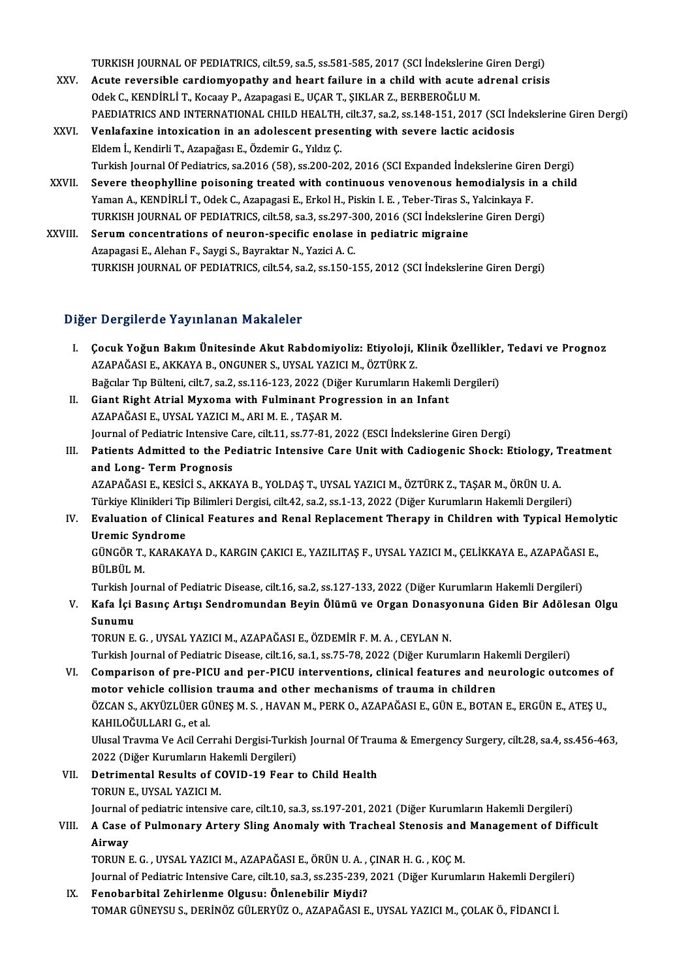TURKISH JOURNAL OF PEDIATRICS, cilt.59, sa.5, ss.581-585, 2017 (SCI İndekslerine Giren Dergi)<br>Aqute reversible qardiamyanathy and beart failure in a shild with aqute adranal spiejs

- TURKISH JOURNAL OF PEDIATRICS, cilt.59, sa.5, ss.581-585, 2017 (SCI İndekslerine Giren Dergi)<br>XXV. Acute reversible cardiomyopathy and heart failure in a child with acute adrenal crisis<br>Odel: C. KENDIBLLT, Kessey B. Azanaz TURKISH JOURNAL OF PEDIATRICS, cilt.59, sa.5, ss.581-585, 2017 (SCI İndekslerine<br>Acute reversible cardiomyopathy and heart failure in a child with acute a<br>Odek C., KENDİRLİ T., Kocaay P., Azapagasi E., UÇAR T., ŞIKLAR Z., Acute reversible cardiomyopathy and heart failure in a child with acute adrenal crisis<br>Odek C., KENDİRLİ T., Kocaay P., Azapagasi E., UÇAR T., ŞIKLAR Z., BERBEROĞLU M.<br>PAEDIATRICS AND INTERNATIONAL CHILD HEALTH, cilt.37, s
- Odek C., KENDİRLİ T., Kocaay P., Azapagasi E., UÇAR T., ŞIKLAR Z., BERBEROĞLU M.<br>PAEDIATRICS AND INTERNATIONAL CHILD HEALTH, cilt.37, sa.2, ss.148-151, 2017 (SCI İn<br>XXVI. Venlafaxine intoxication in an adolescent presentin PAEDIATRICS AND INTERNATIONAL CHILD HEALTH,<br>Venlafaxine intoxication in an adolescent prese<br>Eldem İ., Kendirli T., Azapağası E., Özdemir G., Yıldız Ç.<br>Turkish Journal Of Pediatrics ca 2016 (58), ss 200, 20 Venlafaxine intoxication in an adolescent presenting with severe lactic acidosis<br>Eldem İ., Kendirli T., Azapağası E., Özdemir G., Yıldız Ç.<br>Turkish Journal Of Pediatrics, sa.2016 (58), ss.200-202, 2016 (SCI Expanded İndeks Eldem İ., Kendirli T., Azapağası E., Özdemir G., Yıldız Ç.<br>Turkish Journal Of Pediatrics, sa.2016 (58), ss.200-202, 2016 (SCI Expanded İndekslerine Giren Dergi)<br>XXVII. Severe theophylline poisoning treated with continuous
- Turkish Journal Of Pediatrics, sa.2016 (58), ss.200-202, 2016 (SCI Expanded Indekslerine Gire<br>Severe theophylline poisoning treated with continuous venovenous hemodialysis in<br>Yaman A., KENDİRLİ T., Odek C., Azapagasi E., E Severe theophylline poisoning treated with continuous venovenous hemodialysis in a<br>Yaman A., KENDİRLİ T., Odek C., Azapagasi E., Erkol H., Piskin I. E. , Teber-Tiras S., Yalcinkaya F.<br>TURKISH JOURNAL OF PEDIATRICS, cilt.58 Yaman A., KENDİRLİ T., Odek C., Azapagasi E., Erkol H., Piskin I. E., Teber-Tiras S.,<br>TURKISH JOURNAL OF PEDIATRICS, cilt.58, sa.3, ss.297-300, 2016 (SCI İndeksleri<br>XXVIII. Serum concentrations of neuron-specific enolase i
- TURKISH JOURNAL OF PEDIATRICS, cilt.58, sa.3, ss.297-300, 2016 (SCI İndekslerine Giren Dergi)<br>Serum concentrations of neuron-specific enolase in pediatric migraine<br>Azapagasi E., Alehan F., Saygi S., Bayraktar N., Yazici A. TURKISH JOURNAL OF PEDIATRICS, cilt.54, sa.2, ss.150-155, 2012 (SCI İndekslerine Giren Dergi)

#### Diğer Dergilerde Yayınlanan Makaleler

- Iğer Dergilerde Yayınlanan Makaleler<br>I. Cocuk Yoğun Bakım Ünitesinde Akut Rabdomiyoliz: Etiyoloji, Klinik Özellikler, Tedavi ve Prognoz<br>AZARAĞASLE AKKAYA B. ONCUNER S. UYSAL YAZICLM, ÖZTÜRK Z 1 Dergiferae Taylinanan Makareler<br>Çocuk Yoğun Bakım Ünitesinde Akut Rabdomiyoliz: Etiyoloji, 1<br>AZAPAĞASI E., AKKAYA B., ONGUNER S., UYSAL YAZICI M., ÖZTÜRK Z.<br>Poğalar Tıp Bültəni silt 7, 22, 22, 116, 122, 2022 (Diğen Kurum Çocuk Yoğun Bakım Ünitesinde Akut Rabdomiyoliz: Etiyoloji, Klinik Özellikler,<br>AZAPAĞASI E., AKKAYA B., ONGUNER S., UYSAL YAZICI M., ÖZTÜRK Z.<br>Bağcılar Tıp Bülteni, cilt.7, sa.2, ss.116-123, 2022 (Diğer Kurumların Hakemli D AZAPAĞASI E., AKKAYA B., ONGUNER S., UYSAL YAZICI M., ÖZTÜRK Z.<br>Bağcılar Tıp Bülteni, cilt.7, sa.2, ss.116-123, 2022 (Diğer Kurumların Hakemli<br>II. Giant Right Atrial Myxoma with Fulminant Progression in an Infant<br>AZAPAĞASI Bağcılar Tıp Bülteni, cilt.7, sa.2, ss.116-123, 2022 (Diğer Kurumların Hakemli Dergileri)
- Journal of Pediatric Intensive Care, cilt.11, ss.77-81, 2022 (ESCI İndekslerine Giren Dergi) AZAPAĞASI E., UYSAL YAZICI M., ARI M. E. , TAŞAR M.<br>Journal of Pediatric Intensive Care, cilt.11, ss.77-81, 2022 (ESCI İndekslerine Giren Dergi)<br>III. Patients Admitted to the Pediatric Intensive Care Unit with Cadiogenic S
- Journal of Pediatric Intensive (<br>Patients Admitted to the Pe<br>and Long- Term Prognosis<br>AZAPAČASI E VESICI S AVVA Patients Admitted to the Pediatric Intensive Care Unit with Cadiogenic Shock: Etiology, T<br>and Long- Term Prognosis<br>AZAPAĞASI E., KESİCİ S., AKKAYA B., YOLDAŞ T., UYSAL YAZICI M., ÖZTÜRK Z., TAŞAR M., ÖRÜN U. A.<br>Türkiye Kli <mark>and Long- Term Prognosis</mark><br>AZAPAĞASI E., KESİCİ S., AKKAYA B., YOLDAŞ T., UYSAL YAZICI M., ÖZTÜRK Z., TAŞAR M., ÖRÜN U. A.<br>Türkiye Klinikleri Tip Bilimleri Dergisi, cilt.42, sa.2, ss.1-13, 2022 (Diğer Kurumların Hakemli De
- AZAPAĞASI E., KESİCİ S., AKKAYA B., YOLDAŞ T., UYSAL YAZICI M., ÖZTÜRK Z., TAŞAR M., ÖRÜN U. A.<br>Türkiye Klinikleri Tip Bilimleri Dergisi, cilt.42, sa.2, ss.1-13, 2022 (Diğer Kurumların Hakemli Dergileri)<br>IV. Evaluation of
- Türkiye Klinikleri Tip<br>Evaluation of Clini<br>Uremic Syndrome<br>CÜNCÖP T. KARAKA Evaluation of Clinical Features and Renal Replacement Therapy in Children with Typical Hemol:<br>Uremic Syndrome<br>GÜNGÖR T., KARAKAYA D., KARGIN ÇAKICI E., YAZILITAŞ F., UYSAL YAZICI M., ÇELİKKAYA E., AZAPAĞASI E.,<br>PÜLPÜL M

<mark>Uremic Sy</mark>ı<br>GÜNGÖR T.,<br>BÜLBÜL M.<br>Turkish Lev GÜNGÖR T., KARAKAYA D., KARGIN ÇAKICI E., YAZILITAŞ F., UYSAL YAZICI M., ÇELİKKAYA E., AZAPAĞASI<br>BÜLBÜL M.<br>Turkish Journal of Pediatric Disease, cilt.16, sa.2, ss.127-133, 2022 (Diğer Kurumların Hakemli Dergileri)<br>Kafa İsi

## BÜLBÜL M.<br>Turkish Journal of Pediatric Disease, cilt.16, sa.2, ss.127-133, 2022 (Diğer Kurumların Hakemli Dergileri)<br>V. Kafa İçi Basınç Artışı Sendromundan Beyin Ölümü ve Organ Donasyonuna Giden Bir Adölesan Olgu<br>Sunum Turkish Jo<br><mark>Kafa İçi</mark> I<br>Sunumu<br>TOPUN E Kafa İçi Basınç Artışı Sendromundan Beyin Ölümü ve Organ Donasy<br>Sunumu<br>TORUN E.G. , UYSAL YAZICI M., AZAPAĞASI E., ÖZDEMİR F. M. A. , CEYLAN N.<br>Turkish Journal of Pediatria Disease, silt 1 6, sə 1, sə 75, 79, 2022 (Dižen K Sunumu<br>TORUN E. G. , UYSAL YAZICI M., AZAPAĞASI E., ÖZDEMİR F. M. A. , CEYLAN N.<br>Turkish Journal of Pediatric Disease, cilt.16, sa.1, ss.75-78, 2022 (Diğer Kurumların Hakemli Dergileri)<br>Comparison of PFe BICU and Per BICU

TORUN E. G. , UYSAL YAZICI M., AZAPAĞASI E., ÖZDEMİR F. M. A. , CEYLAN N.<br>Turkish Journal of Pediatric Disease, cilt.16, sa.1, ss.75-78, 2022 (Diğer Kurumların Hakemli Dergileri)<br>VI. Comparison of pre-PICU and per-PICU int Turkish Journal of Pediatric Disease, cilt.16, sa.1, ss.75-78, 2022 (Diğer Kurumların Hal<br>Comparison of pre-PICU and per-PICU interventions, clinical features and ne<br>motor vehicle collision trauma and other mechanisms of t Comparison of pre-PICU and per-PICU interventions, clinical features and neurologic outcomes o<br>motor vehicle collision trauma and other mechanisms of trauma in children<br>ÖZCAN S., AKYÜZLÜER GÜNEŞ M. S. , HAVAN M., PERK O.,

motor vehicle collision<br>ÖZCAN S., AKYÜZLÜER GÜ<br>KAHILOĞULLARI G., et al.<br>Ulucal Trauma Va Asil Cer ÖZCAN S., AKYÜZLÜER GÜNEŞ M. S. , HAVAN M., PERK O., AZAPAĞASI E., GÜN E., BOTAN E., ERGÜN E., ATEŞ U.,<br>KAHILOĞULLARI G., et al.<br>Ulusal Travma Ve Acil Cerrahi Dergisi-Turkish Journal Of Trauma & Emergency Surgery, cilt.28, KAHILOĞULLARI G., et al.<br>Ulusal Travma Ve Acil Cerrahi Dergisi-Turkish Journal Of Trauma & Emergency Surgery, cilt.28, sa.4, ss.456-463,

2022 (Diğer Kurumların Hakemli Dergileri)

VII. Detrimental Results of COVID-19 Fear to Child Health<br>TORUN E. UYSAL YAZICI M. Detrimental Results of COVID-19 Fear to Child Health<br>TORUN E., UYSAL YAZICI M.<br>Journal of pediatric intensive care, cilt.10, sa.3, ss.197-201, 2021 (Diğer Kurumların Hakemli Dergileri)<br>A Case of Bulmonary Artory Sling Anom

## VIII. A Case of Pulmonary Artery Sling Anomaly with Tracheal Stenosis and Management of Difficult<br>Airway Journal<br><mark>A Case</mark><br>Airway<br>TOPUN I Airway<br>TORUN E. G. , UYSAL YAZICI M., AZAPAĞASI E., ÖRÜN U. A. , ÇINAR H. G. , KOÇ M.<br>Journal of Pediatric Intensive Care, cilt.10, sa.3, ss.235-239, 2021 (Diğer Kurumların Hakemli Dergileri)<br>Fanahanhital Zahirlarma Olgusu

TORUNE.G. ,UYSAL YAZICIM.,AZAPAĞASIE.,ÖRÜNU.A. ,ÇINARH.G. ,KOÇM.

IX. Fenobarbital Zehirlenme Olgusu: Önlenebilir Miydi?<br>TOMAR GÜNEYSU S., DERİNÖZ GÜLERYÜZ O., AZAPAĞASI E., UYSAL YAZICI M., ÇOLAK Ö., FİDANCI İ. Journal of Pediatric Intensive Care, cilt.10, sa.3, ss.235-239, 2021 (Diğer Kurumların Hakemli Dergil<br>F<mark>enobarbital Zehirlenme Olgusu: Önlenebilir Miydi?</mark><br>TOMAR GÜNEYSU S., DERİNÖZ GÜLERYÜZ O., AZAPAĞASI E., UYSAL YAZICI M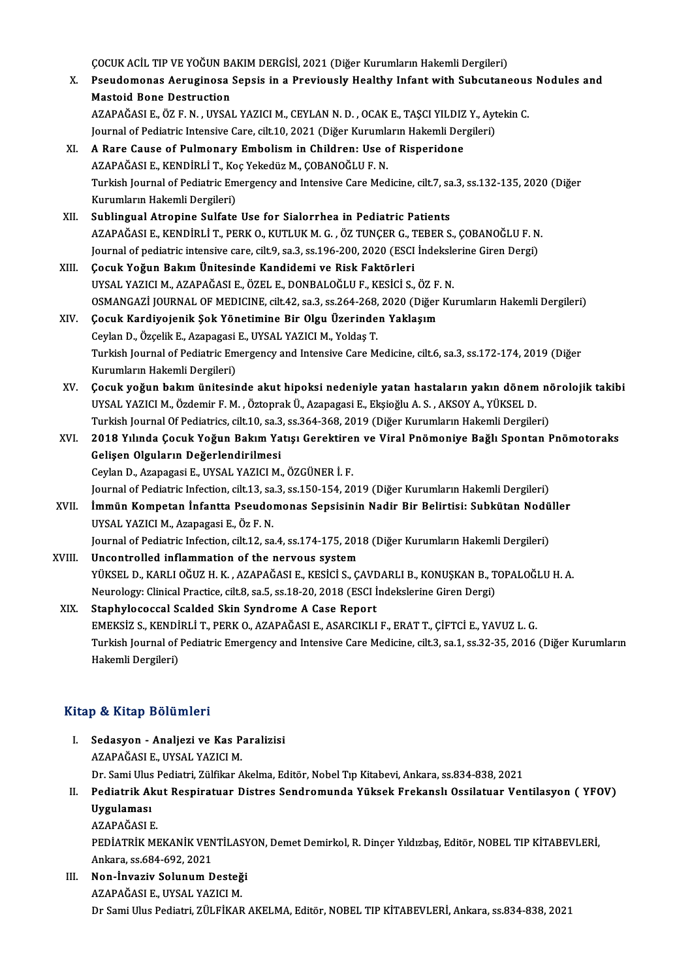ç<br>ÇOCUK ACİL TIP VE YOĞUN BAKIM DERGİSİ, 2021 (Diğer Kurumların Hakemli Dergileri)<br>Pesudamanas Asıyısinasa Sansis in a Praviausly Hasliby Infant with Subsytans

X. Pseudomonas Aeruginosa Sepsis in a Previously Healthy Infantwith Subcutaneous Nodules and COCUK ACİL TIP VE YOĞUN BA<br>Pseudomonas Aeruginosa<br>Mastoid Bone Destruction<br>AZAPAĞASLE ÖZEN UYSAL Pseudomonas Aeruginosa Sepsis in a Previously Healthy Infant with Subcutaneous<br>Mastoid Bone Destruction<br>AZAPAĞASI E., ÖZ F. N. , UYSAL YAZICI M., CEYLAN N. D. , OCAK E., TAŞCI YILDIZ Y., Aytekin C.<br>Journal of Bedistria Int Mastoid Bone Destruction<br>AZAPAĞASI E., ÖZ F. N. , UYSAL YAZICI M., CEYLAN N. D. , OCAK E., TAŞCI YILDIZ Y., Ayt<br>Journal of Pediatric Intensive Care, cilt.10, 2021 (Diğer Kurumların Hakemli Dergileri)<br>A Bare Cause of Bulmon

- Journal of Pediatric Intensive Care, cilt.10, 2021 (Diğer Kurumların Hakemli Dergileri)<br>XI. A Rare Cause of Pulmonary Embolism in Children: Use of Risperidone Journal of Pediatric Intensive Care, cilt.10, 2021 (Diğer Kurumla<br><mark>A Rare Cause of Pulmonary Embolism in Children: Use o</mark><br>AZAPAĞASI E., KENDİRLİ T., Koç Yekedüz M., ÇOBANOĞLU F. N.<br>Turkish Journal of Pediatris Emersengy an Turkish Journal of Pediatric Emergency and Intensive Care Medicine, cilt.7, sa.3, ss.132-135, 2020 (Diğer<br>Kurumların Hakemli Dergileri) AZAPAĞASI E., KENDİRLİ T., Ko<br>Turkish Journal of Pediatric Em<br>Kurumların Hakemli Dergileri)<br>Sublingual Atronine Sulfate
- XII. Sublingual Atropine Sulfate Use for Sialorrhea in Pediatric Patients Kurumların Hakemli Dergileri)<br>Sublingual Atropine Sulfate Use for Sialorrhea in Pediatric Patients<br>AZAPAĞASI E., KENDİRLİ T., PERK 0., KUTLUK M. G. , ÖZ TUNÇER G., TEBER S., ÇOBANOĞLU F. N.<br>Journal of pediatris intensive s Sublingual Atropine Sulfate Use for Sialorrhea in Pediatric Patients<br>AZAPAĞASI E., KENDİRLİ T., PERK O., KUTLUK M. G. , ÖZ TUNÇER G., TEBER S., ÇOBANOĞLU F. N<br>Journal of pediatric intensive care, cilt.9, sa.3, ss.196-200, AZAPAĞASI E., KENDİRLİ T., PERK O., KUTLUK M. G., ÖZ TUNÇER G., T<br>Journal of pediatric intensive care, cilt.9, sa.3, ss.196-200, 2020 (ESCI<br>XIII. Cocuk Yoğun Bakım Ünitesinde Kandidemi ve Risk Faktörleri<br>IIVSAL YAZICI M. A
- Journal of pediatric intensive care, cilt.9, sa.3, ss.196-200, 2020 (ESCI İndeksle<br>**Çocuk Yoğun Bakım Ünitesinde Kandidemi ve Risk Faktörleri**<br>UYSAL YAZICI M., AZAPAĞASI E., ÖZEL E., DONBALOĞLU F., KESİCİ S., ÖZ F. N.<br>OSMA Çocuk Yoğun Bakım Ünitesinde Kandidemi ve Risk Faktörleri<br>UYSAL YAZICI M., AZAPAĞASI E., ÖZEL E., DONBALOĞLU F., KESİCİ S., ÖZ F. N.<br>OSMANGAZİ JOURNAL OF MEDICINE, cilt.42, sa.3, ss.264-268, 2020 (Diğer Kurumların Hakemli UYSAL YAZICI M., AZAPAĞASI E., ÖZEL E., DONBALOĞLU F., KESİCİ S., ÖZ F.<br>OSMANGAZİ JOURNAL OF MEDICINE, cilt.42, sa.3, ss.264-268, 2020 (Diğer<br>XIV. Gocuk Kardiyojenik Şok Yönetimine Bir Olgu Üzerinden Yaklaşım

## OSMANGAZİ JOURNAL OF MEDICINE, cilt.42, sa.3, ss.264-268,<br>Çocuk Kardiyojenik Şok Yönetimine Bir Olgu Üzerinde<br>Ceylan D., Özçelik E., Azapagasi E., UYSAL YAZICI M., Yoldaş T.<br>Turkish Journal of Pediatris Emersonay and Inten XIV. Çocuk Kardiyojenik Şok Yönetimine Bir Olgu Üzerinden Yaklaşım<br>Ceylan D., Özçelik E., Azapagasi E., UYSAL YAZICI M., Yoldaş T.<br>Turkish Journal of Pediatric Emergency and Intensive Care Medicine, cilt.6, sa.3, ss.172-17 Ceylan D., Özçelik E., Azapagasi E., UYSAL YAZICI M., Yoldaş T. Turkish Journal of Pediatric Emergency and Intensive Care Medicine, cilt.6, sa.3, ss.172-174, 2019 (Diğer<br>Kurumların Hakemli Dergileri)<br>XV. Gocuk yoğun bakım ünitesinde akut hipoksi nedeniyle yatan hastaların yakın dönem n

- Kurumların Hakemli Dergileri)<br>Çocuk yoğun bakım ünitesinde akut hipoksi nedeniyle yatan hastaların yakın dönem<br>UYSAL YAZICI M., Özdemir F. M. , Öztoprak Ü., Azapagasi E., Ekşioğlu A. S. , AKSOY A., YÜKSEL D.<br>Turkich Journa Çocuk yoğun bakım ünitesinde akut hipoksi nedeniyle yatan hastaların yakın dönem ne<br>UYSAL YAZICI M., Özdemir F. M. , Öztoprak Ü., Azapagasi E., Ekşioğlu A. S. , AKSOY A., YÜKSEL D.<br>Turkish Journal Of Pediatrics, cilt.10, s UYSAL YAZICI M., Özdemir F. M. , Öztoprak Ü., Azapagasi E., Ekşioğlu A. S. , AKSOY A., YÜKSEL D.<br>Turkish Journal Of Pediatrics, cilt.10, sa.3, ss.364-368, 2019 (Diğer Kurumların Hakemli Dergileri)<br>XVI. 2018 Yılında Çocuk Y
- Turkish Journal Of Pediatrics, cilt.10, sa.3, ss.364-368, 2019 (Diğer Kurumların Hakemli Dergileri)<br>2018 Yılında Çocuk Yoğun Bakım Yatışı Gerektiren ve Viral Pnömoniye Bağlı Spontan |<br>Gelişen Olguların Değerlendirilmesi<br>Ce 2018 Yılında Çocuk Yoğun Bakım Yatışı Gerektire:<br>Gelişen Olguların Değerlendirilmesi<br>Ceylan D., Azapagasi E., UYSAL YAZICI M., ÖZGÜNER İ. F.<br>Journal of Bodiatric Infection silt 13.53.3.55.150.154.20 Gelişen Olguların Değerlendirilmesi<br>Ceylan D., Azapagasi E., UYSAL YAZICI M., ÖZGÜNER İ. F.<br>Journal of Pediatric Infection, cilt.13, sa.3, ss.150-154, 2019 (Diğer Kurumların Hakemli Dergileri)<br>İmmün Kompatan İnfantta Basud
- XVII. İmmün Kompetan İnfantta Pseudomonas Sepsisinin Nadir Bir Belirtisi: Subkütan Nodüller<br>UYSAL YAZICI M., Azapagasi E., Öz F. N. Journal of Pediatric Infection, cilt.13, sa<br>**İmmün Kompetan İnfantta Pseudo**l<br>UYSAL YAZICI M., Azapagasi E., Öz F. N.<br>Journal of Pediatria Infection, cilt.12, sa İmmün Kompetan İnfantta Pseudomonas Sepsisinin Nadir Bir Belirtisi: Subkütan Nodü<br>UYSAL YAZICI M., Azapagasi E., Öz F. N.<br>Journal of Pediatric Infection, cilt.12, sa.4, ss.174-175, 2018 (Diğer Kurumların Hakemli Dergileri)
- XVIII. Uncontrolled inflammation of the nervous system<br>YÜKSEL D., KARLI OĞUZ H. K. , AZAPAĞASI E., KESİCİ S., CAVDARLI B., KONUSKAN B., TOPALOĞLU H. A. Journal of Pediatric Infection, cilt.12, sa.4, ss.174-175, 2018 (Diğer Kurumların Hakemli Dergileri)<br><mark>Uncontrolled inflammation of the nervous system</mark><br>YÜKSEL D., KARLI OĞUZ H. K. , AZAPAĞASI E., KESİCİ S., ÇAVDARLI B., KON Neurology: Clinical Practice, cilt.8, sa.5, ss.18-20, 2018 (ESCI İndekslerine Giren Dergi)

### XIX. Staphylococcal Scalded Skin Syndrome A Case Report EMEKSİZ S.,KENDİRLİT.,PERKO.,AZAPAĞASIE.,ASARCIKLIF.,ERATT.,ÇİFTCİE.,YAVUZ L.G. Staphylococcal Scalded Skin Syndrome A Case Report<br>EMEKSİZ S., KENDİRLİ T., PERK O., AZAPAĞASI E., ASARCIKLI F., ERAT T., ÇİFTCİ E., YAVUZ L. G.<br>Turkish Journal of Pediatric Emergency and Intensive Care Medicine, cilt.3, s EMEKSİZ S., KENDİ<br>Turkish Journal of I<br>Hakemli Dergileri) Hakemli Dergileri)<br>Kitap & Kitap Bölümleri

Itap & Kitap Bölümleri<br>I. Sedasyon - Analjezi ve Kas Paralizisi<br>AZARAČASI E JIVSAL VAZICI M P & Tridip Botamior<br>Sedasyon - Analjezi ve Kas P<br>AZAPAĞASI E., UYSAL YAZICI M.<br>Dr. Sami Illus Podiatri Zülfikar A AZAPAĞASI E., UYSAL YAZICI M.<br>Dr. Sami Ulus Pediatri, Zülfikar Akelma, Editör, Nobel Tıp Kitabevi, Ankara, ss.834-838, 2021 AZAPAĞASI E., UYSAL YAZICI M.<br>Dr. Sami Ulus Pediatri, Zülfikar Akelma, Editör, Nobel Tıp Kitabevi, Ankara, ss.834-838, 2021<br>II. Pediatrik Akut Respiratuar Distres Sendromunda Yüksek Frekanslı Ossilatuar Ventilasyon ( Y

Dr. Sami Ulus<br><mark>Pediatrik Al</mark><br>Uygulaması<br>AZARAČASI I Pediatrik Akı<br>Uygulaması<br>AZAPAĞASI E.<br>PEDİATPİK MI Uygulaması<br>AZAPAĞASI E.<br>PEDİATRİK MEKANİK VENTİLASYON, Demet Demirkol, R. Dinçer Yıldızbaş, Editör, NOBEL TIP KİTABEVLERİ, AZAPAĞASI E.<br>PEDİATRİK MEKANİK VEN<br>Ankara, ss.684-692, 2021<br>Non İnvaziy Solunum D PEDİATRİK MEKANİK VENTİLASY<br>Ankara, ss.684-692, 2021<br>III. Non-İnvaziv Solunum Desteği<br>AZARAĞASI E UYSAL YAZICI M

Ankara, ss.684-692, 2021<br>Non-İnvaziv Solunum Desteğ<br>AZAPAĞASI E., UYSAL YAZICI M.<br>Dr Sami Illus Pedistri, ZÜLEİKAR AZAPAĞASI E., UYSAL YAZICI M.<br>Dr Sami Ulus Pediatri, ZÜLFİKAR AKELMA, Editör, NOBEL TIP KİTABEVLERİ, Ankara, ss.834-838, 2021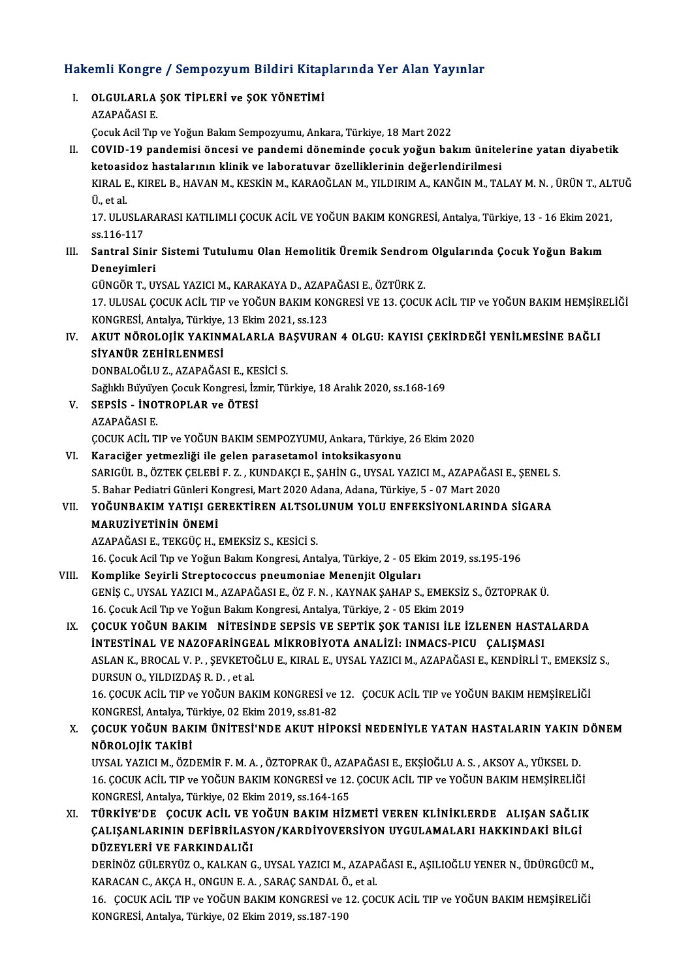# Hakemli Kongre / Sempozyum Bildiri Kitaplarında Yer Alan Yayınlar<br>Hakemli Kongre / Sempozyum Bildiri Kitaplarında Yer Alan Yayınlar

| Hakemli Kongre / Sempozyum Bildiri Kitaplarında Yer Alan Yayınlar |                                                                                                                                                                  |
|-------------------------------------------------------------------|------------------------------------------------------------------------------------------------------------------------------------------------------------------|
| L                                                                 | OLGULARLA ŞOK TİPLERİ ve ŞOK YÖNETİMİ                                                                                                                            |
|                                                                   | AZAPAĞASI E                                                                                                                                                      |
|                                                                   | Çocuk Acil Tıp ve Yoğun Bakım Sempozyumu, Ankara, Türkiye, 18 Mart 2022                                                                                          |
| П.                                                                | COVID-19 pandemisi öncesi ve pandemi döneminde çocuk yoğun bakım ünitelerine yatan diyabetik                                                                     |
|                                                                   | ketoasidoz hastalarının klinik ve laboratuvar özelliklerinin değerlendirilmesi                                                                                   |
|                                                                   | KIRAL E., KIREL B., HAVAN M., KESKİN M., KARAOĞLAN M., YILDIRIM A., KANĞIN M., TALAY M. N. , ÜRÜN T., ALTUĞ                                                      |
|                                                                   | Ü, et al.                                                                                                                                                        |
|                                                                   | 17. ULUSLARARASI KATILIMLI ÇOCUK ACİL VE YOĞUN BAKIM KONGRESİ, Antalya, Türkiye, 13 - 16 Ekim 2021,                                                              |
|                                                                   | ss 116-117                                                                                                                                                       |
| III.                                                              | Santral Sinir Sistemi Tutulumu Olan Hemolitik Üremik Sendrom Olgularında Çocuk Yoğun Bakım                                                                       |
|                                                                   | Deneyimleri<br>GÜNGÖR T., UYSAL YAZICI M., KARAKAYA D., AZAPAĞASI E., ÖZTÜRK Z.                                                                                  |
|                                                                   | 17. ULUSAL ÇOCUK ACİL TIP ve YOĞUN BAKIM KONGRESİ VE 13. ÇOCUK ACİL TIP ve YOĞUN BAKIM HEMŞİRELİĞİ                                                               |
|                                                                   | KONGRESİ, Antalya, Türkiye, 13 Ekim 2021, ss.123                                                                                                                 |
| IV.                                                               | AKUT NÖROLOJİK YAKINMALARLA BAŞVURAN 4 OLGU: KAYISI ÇEKİRDEĞİ YENİLMESİNE BAĞLI                                                                                  |
|                                                                   | SİYANÜR ZEHİRLENMESİ                                                                                                                                             |
|                                                                   | DONBALOĞLU Z., AZAPAĞASI E., KESİCİ S.                                                                                                                           |
|                                                                   | Sağlıklı Büyüyen Çocuk Kongresi, İzmir, Türkiye, 18 Aralık 2020, ss.168-169                                                                                      |
| V.                                                                | SEPSIS - INOTROPLAR ve ÖTESI                                                                                                                                     |
|                                                                   | AZAPAĞASI E                                                                                                                                                      |
|                                                                   | ÇOCUK ACİL TIP ve YOĞUN BAKIM SEMPOZYUMU, Ankara, Türkiye, 26 Ekim 2020                                                                                          |
| VI.                                                               | Karaciğer yetmezliği ile gelen parasetamol intoksikasyonu                                                                                                        |
|                                                                   | SARIGÜL B., ÖZTEK ÇELEBİ F. Z., KUNDAKÇI E., ŞAHİN G., UYSAL YAZICI M., AZAPAĞASI E., ŞENEL S.                                                                   |
|                                                                   | 5. Bahar Pediatri Günleri Kongresi, Mart 2020 Adana, Adana, Türkiye, 5 - 07 Mart 2020                                                                            |
| VII.                                                              | YOĞUNBAKIM YATIŞI GEREKTİREN ALTSOLUNUM YOLU ENFEKSİYONLARINDA SİGARA                                                                                            |
|                                                                   | MARUZİYETİNİN ÖNEMİ                                                                                                                                              |
|                                                                   | AZAPAĞASI E., TEKGÜÇ H., EMEKSİZ S., KESİCİ S.                                                                                                                   |
|                                                                   | 16. Çocuk Acil Tıp ve Yoğun Bakım Kongresi, Antalya, Türkiye, 2 - 05 Ekim 2019, ss.195-196                                                                       |
| VIII                                                              | Komplike Seyirli Streptococcus pneumoniae Menenjit Olguları                                                                                                      |
|                                                                   | GENİŞ C., UYSAL YAZICI M., AZAPAĞASI E., ÖZ F. N., KAYNAK ŞAHAP S., EMEKSİZ S., ÖZTOPRAK Ü.                                                                      |
| IX.                                                               | 16. Çocuk Acil Tıp ve Yoğun Bakım Kongresi, Antalya, Türkiye, 2 - 05 Ekim 2019<br>ÇOCUK YOĞUN BAKIM NİTESİNDE SEPSİS VE SEPTİK ŞOK TANISI İLE İZLENEN HASTALARDA |
|                                                                   | INTESTINAL VE NAZOFARINGEAL MIKROBIYOTA ANALIZI: INMACS-PICU ÇALIŞMASI                                                                                           |
|                                                                   | ASLAN K., BROCAL V. P., ŞEVKETOĞLU E., KIRAL E., UYSAL YAZICI M., AZAPAĞASI E., KENDİRLİ T., EMEKSİZ S.,                                                         |
|                                                                   | DURSUN O., YILDIZDAŞ R.D., et al.                                                                                                                                |
|                                                                   | 16. ÇOCUK ACİL TIP ve YOĞUN BAKIM KONGRESİ ve 12. ÇOCUK ACİL TIP ve YOĞUN BAKIM HEMŞİRELİĞİ                                                                      |
|                                                                   | KONGRESİ, Antalya, Türkiye, 02 Ekim 2019, ss 81-82                                                                                                               |
| X.                                                                | ÇOCUK YOĞUN BAKIM ÜNİTESİ'NDE AKUT HİPOKSİ NEDENİYLE YATAN HASTALARIN YAKIN DÖNEM                                                                                |
|                                                                   | NÖROLOJİK TAKİBİ                                                                                                                                                 |
|                                                                   | UYSAL YAZICI M., ÖZDEMİR F. M. A., ÖZTOPRAK Ü., AZAPAĞASI E., EKŞİOĞLU A. S., AKSOY A., YÜKSEL D.                                                                |
|                                                                   | 16. ÇOCUK ACİL TIP ve YOĞUN BAKIM KONGRESİ ve 12. ÇOCUK ACİL TIP ve YOĞUN BAKIM HEMŞİRELİĞİ                                                                      |
|                                                                   | KONGRESİ, Antalya, Türkiye, 02 Ekim 2019, ss.164-165                                                                                                             |
| XI.                                                               | TÜRKİYE'DE ÇOCUK ACİL VE YOĞUN BAKIM HİZMETİ VEREN KLİNİKLERDE ALIŞAN SAĞLIK                                                                                     |
|                                                                   | ÇALIŞANLARININ DEFİBRİLASYON/KARDİYOVERSİYON UYGULAMALARI HAKKINDAKİ BİLGİ                                                                                       |
|                                                                   | DÜZEYLERİ VE FARKINDALIĞI                                                                                                                                        |
|                                                                   | DERİNÖZ GÜLERYÜZ O., KALKAN G., UYSAL YAZICI M., AZAPAĞASI E., AŞILIOĞLU YENER N., ÜDÜRGÜCÜ M.,                                                                  |
|                                                                   | KARACAN C., AKÇA H., ONGUN E. A., SARAÇ SANDAL Ö., et al.                                                                                                        |
|                                                                   | 16. ÇOCUK ACİL TIP ve YOĞUN BAKIM KONGRESİ ve 12. ÇOCUK ACİL TIP ve YOĞUN BAKIM HEMŞİRELİĞİ<br>VONCDESI Antolica Türkiye 02 Elim 2010. ss 197 100                |
|                                                                   |                                                                                                                                                                  |

KONGRESİ,Antalya,Türkiye,02Ekim2019, ss.187-190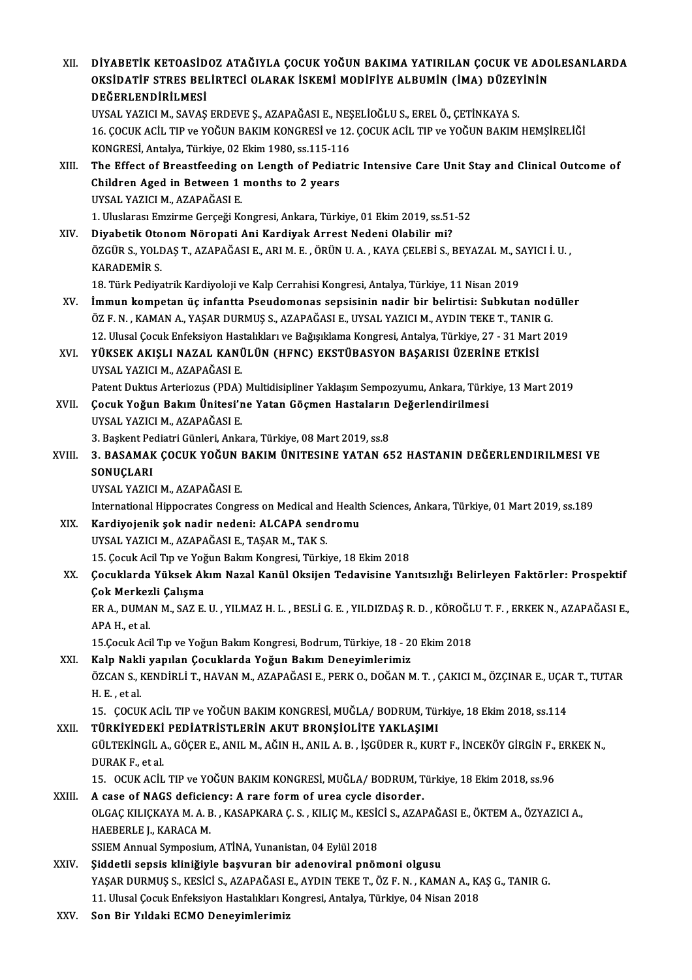| XII.   | DİYABETİK KETOASİDOZ ATAĞIYLA ÇOCUK YOĞUN BAKIMA YATIRILAN ÇOCUK VE ADOLESANLARDA<br>OKSIDATIF STRES BELIRTECI OLARAK ISKEMI MODIFIYE ALBUMIN (IMA) DÜZEYININ<br>DEĞERLENDİRİLMESİ |
|--------|------------------------------------------------------------------------------------------------------------------------------------------------------------------------------------|
|        | UYSAL YAZICI M., SAVAŞ ERDEVE Ş., AZAPAĞASI E., NEŞELİOĞLU S., EREL Ö., ÇETİNKAYA S.                                                                                               |
|        | 16. ÇOCUK ACİL TIP ve YOĞUN BAKIM KONGRESİ ve 12. ÇOCUK ACİL TIP ve YOĞUN BAKIM HEMŞİRELİĞİ                                                                                        |
|        | KONGRESİ, Antalya, Türkiye, 02 Ekim 1980, ss.115-116                                                                                                                               |
| XIII.  | The Effect of Breastfeeding on Length of Pediatric Intensive Care Unit Stay and Clinical Outcome of                                                                                |
|        | Children Aged in Between 1 months to 2 years                                                                                                                                       |
|        | UYSAL YAZICI M., AZAPAĞASI E.                                                                                                                                                      |
|        | 1. Uluslarası Emzirme Gerçeği Kongresi, Ankara, Türkiye, 01 Ekim 2019, ss 51-52                                                                                                    |
| XIV.   | Diyabetik Otonom Nöropati Ani Kardiyak Arrest Nedeni Olabilir mi?                                                                                                                  |
|        | ÖZGÜR S., YOLDAŞ T., AZAPAĞASI E., ARI M. E., ÖRÜN U. A., KAYA ÇELEBİ S., BEYAZAL M., SAYICI İ. U.,                                                                                |
|        | <b>KARADEMİR S.</b><br>18. Türk Pediyatrik Kardiyoloji ve Kalp Cerrahisi Kongresi, Antalya, Türkiye, 11 Nisan 2019                                                                 |
| XV.    | İmmun kompetan üç infantta Pseudomonas sepsisinin nadir bir belirtisi: Subkutan nodüller                                                                                           |
|        | ÖZ F. N., KAMAN A., YAŞAR DURMUŞ S., AZAPAĞASI E., UYSAL YAZICI M., AYDIN TEKE T., TANIR G.                                                                                        |
|        | 12. Ulusal Çocuk Enfeksiyon Hastalıkları ve Bağışıklama Kongresi, Antalya, Türkiye, 27 - 31 Mart 2019                                                                              |
| XVI.   | YÜKSEK AKIŞLI NAZAL KANÜLÜN (HFNC) EKSTÜBASYON BAŞARISI ÜZERİNE ETKİSİ                                                                                                             |
|        | UYSAL YAZICI M., AZAPAĞASI E.                                                                                                                                                      |
|        | Patent Duktus Arteriozus (PDA) Multidisipliner Yaklaşım Sempozyumu, Ankara, Türkiye, 13 Mart 2019                                                                                  |
| XVII.  | Çocuk Yoğun Bakım Ünitesi'ne Yatan Göçmen Hastaların Değerlendirilmesi                                                                                                             |
|        | UYSAL YAZICI M., AZAPAĞASI E.                                                                                                                                                      |
|        | 3. Başkent Pediatri Günleri, Ankara, Türkiye, 08 Mart 2019, ss.8                                                                                                                   |
| XVIII. | 3. BASAMAK ÇOCUK YOĞUN BAKIM ÜNITESINE YATAN 652 HASTANIN DEĞERLENDIRILMESI VE                                                                                                     |
|        | SONUÇLARI<br>UYSAL YAZICI M., AZAPAĞASI E.                                                                                                                                         |
|        | International Hippocrates Congress on Medical and Health Sciences, Ankara, Türkiye, 01 Mart 2019, ss.189                                                                           |
| XIX.   | Kardiyojenik şok nadir nedeni: ALCAPA sendromu                                                                                                                                     |
|        | UYSAL YAZICI M., AZAPAĞASI E., TAŞAR M., TAK S.                                                                                                                                    |
|        | 15. Çocuk Acil Tıp ve Yoğun Bakım Kongresi, Türkiye, 18 Ekim 2018                                                                                                                  |
| XX.    | Çocuklarda Yüksek Akım Nazal Kanül Oksijen Tedavisine Yanıtsızlığı Belirleyen Faktörler: Prospektif                                                                                |
|        | Çok Merkezli Çalışma                                                                                                                                                               |
|        | ER A., DUMAN M., SAZ E. U. , YILMAZ H. L. , BESLİ G. E. , YILDIZDAŞ R. D. , KÖROĞLU T. F. , ERKEK N., AZAPAĞASI E.,                                                                |
|        | APA H., et al.                                                                                                                                                                     |
|        | 15.Çocuk Acil Tıp ve Yoğun Bakım Kongresi, Bodrum, Türkiye, 18 - 20 Ekim 2018                                                                                                      |
| XXI.   | Kalp Nakli yapılan Çocuklarda Yoğun Bakım Deneyimlerimiz                                                                                                                           |
|        | ÖZCAN S., KENDİRLİ T., HAVAN M., AZAPAĞASI E., PERK O., DOĞAN M. T. , ÇAKICI M., ÖZÇINAR E., UÇAR T., TUTAR                                                                        |
|        | H.E., et al.                                                                                                                                                                       |
| XXII.  | 15. ÇOCUK ACİL TIP ve YOĞUN BAKIM KONGRESİ, MUĞLA/ BODRUM, Türkiye, 18 Ekim 2018, ss.114<br>TÜRKİYEDEKİ PEDİATRİSTLERİN AKUT BRONŞİOLİTE YAKLAŞIMI                                 |
|        | GÜLTEKİNGİL A., GÖÇER E., ANIL M., AĞIN H., ANIL A. B., İŞGÜDER R., KURT F., İNCEKÖY GİRGİN F., ERKEK N.,                                                                          |
|        | DURAK F, et al.                                                                                                                                                                    |
|        | 15. OCUK ACİL TIP ve YOĞUN BAKIM KONGRESİ, MUĞLA/ BODRUM, Türkiye, 18 Ekim 2018, ss.96                                                                                             |
| XXIII. | A case of NAGS deficiency: A rare form of urea cycle disorder.                                                                                                                     |
|        | OLGAÇ KILIÇKAYA M. A. B. , KASAPKARA Ç. S. , KILIÇ M., KESİCİ S., AZAPAĞASI E., ÖKTEM A., ÖZYAZICI A.,                                                                             |
|        | HAEBERLE J., KARACA M.                                                                                                                                                             |
|        | SSIEM Annual Symposium, ATİNA, Yunanistan, 04 Eylül 2018                                                                                                                           |
| XXIV.  | Şiddetli sepsis kliniğiyle başvuran bir adenoviral pnömoni olgusu                                                                                                                  |
|        | YAŞAR DURMUŞ S., KESİCİ S., AZAPAĞASI E., AYDIN TEKE T., ÖZ F. N., KAMAN A., KAŞ G., TANIR G.                                                                                      |
| VVV    | 11. Ulusal Çocuk Enfeksiyon Hastalıkları Kongresi, Antalya, Türkiye, 04 Nisan 2018<br>Can Din Vuldalri ECMO Danarrimlanimin                                                        |
|        |                                                                                                                                                                                    |

XXV. Son Bir Yıldaki ECMO Deneyimlerimiz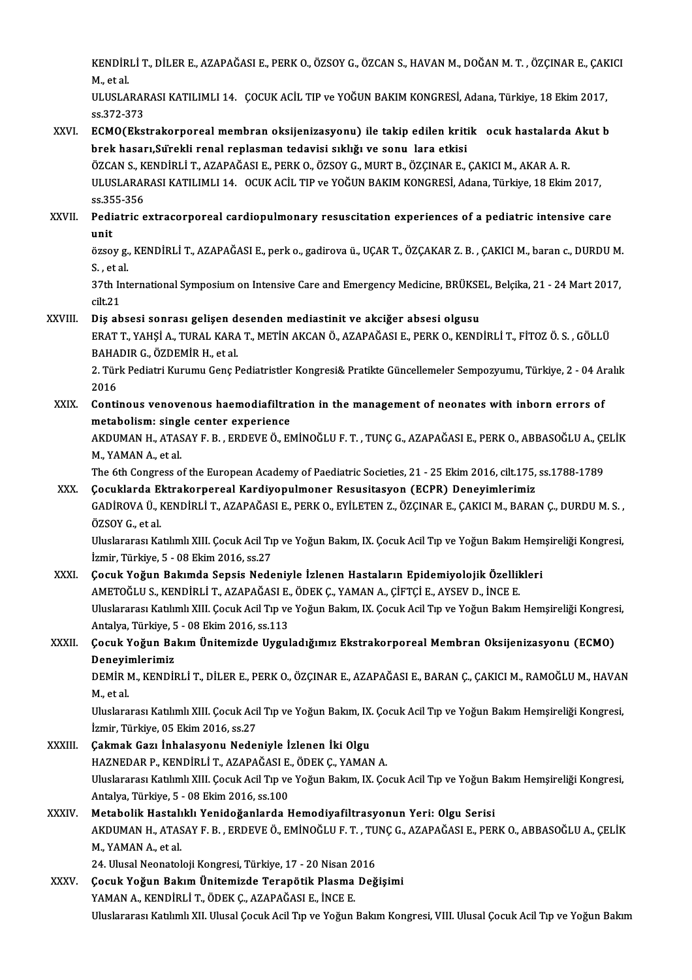KENDİRLİ T., DİLER E., AZAPAĞASI E., PERK O., ÖZSOY G., ÖZCAN S., HAVAN M., DOĞAN M. T. , ÖZÇINAR E., ÇAKICI<br>Mastal KENDIR<br>M., et al.<br>III USLA KENDİRLİ T., DİLER E., AZAPAĞASI E., PERK O., ÖZSOY G., ÖZCAN S., HAVAN M., DOĞAN M. T. , ÖZÇINAR E., ÇAK<br>M., et al<br>ULUSLARARASI KATILIMLI 14. ÇOCUK ACİL TIP ve YOĞUN BAKIM KONGRESİ, Adana, Türkiye, 18 Ekim 2017,<br>22.373.

M., et al.<br>ULUSLARARASI KATILIMLI 14. ÇOCUK ACİL TIP ve YOĞUN BAKIM KONGRESİ, Adana, Türkiye, 18 Ekim 2017,<br>ss.372-373 ULUSLARARASI KATILIMLI 14. ÇOCUK ACİL TIP ve YOĞUN BAKIM KONGRESİ, Adana, Türkiye, 18 Ekim 2017,<br>ss.372-373<br>XXVI. ECMO(Ekstrakorporeal membran oksijenizasyonu) ile takip edilen kritik ocuk hastalarda Akut b<br>brok hasarı Sür

## ss.372-373<br>ECMO(Ekstrakorporeal membran oksijenizasyonu) ile takip edilen kriti<br>brek hasarı,Sürekli renal replasman tedavisi sıklığı ve sonu lara etkisi<br>ÖZCAN S. KENDİRLİ T. AZARAČASLE, RERK O. ÖZSOV C. MURT R. ÖZCINAR E ECMO(Ekstrakorporeal membran oksijenizasyonu) ile takip edilen kritikµ ocuk hastalarda<br>brek hasarı,Sürekli renal replasman tedavisi sıklığı ve sonuµlara etkisi<br>ÖZCAN S., KENDİRLİ T., AZAPAĞASI E., PERK O., ÖZSOY G., MURT B

brek hasarı,Sürekli renal replasman tedavisi sıklığı ve sonu lara etkisi<br>ÖZCAN S., KENDİRLİ T., AZAPAĞASI E., PERK O., ÖZSOY G., MURT B., ÖZÇINAR E., ÇAKICI M., AKAR A. R.<br>ULUSLARARASI KATILIMLI 14. OCUK ACİL TIP ve YOĞ ÖZCAN S., K<br>ULUSLARAF<br>ss.355-356<br>Pediatric e ULUSLARARASI KATILIMLI 14. OCUK ACIL TIP ve YOĞUN BAKIM KONGRESİ, Adana, Türkiye, 18 Ekim 2017,<br>ss.355-356<br>XXVII. Pediatric extracorporeal cardiopulmonary resuscitation experiences of a pediatric intensive care<br>.....

## ss.35<br>Pedi<br>üzse: Pediatric extracorporeal cardiopulmonary resuscitation experiences of a pediatric intensive care<br>unit<br>özsoy g., KENDİRLİ T., AZAPAĞASI E., perk o., gadirova ü., UÇAR T., ÖZÇAKAR Z. B. , ÇAKICI M., baran c., DURDU M.<br>S. et

unit<br>özsoy g., KENDİRLİ T., AZAPAĞASI E., perk o., gadirova ü., UÇAR T., ÖZÇAKAR Z. B. , ÇAKICI M., baran c., DURDU M.<br>S. , et al. özsoy g., KENDİRLİ T., AZAPAĞASI E., perk o., gadirova ü., UÇAR T., ÖZÇAKAR Z. B. , ÇAKICI M., baran c., DURDU M<br>S. , et al.<br>37th International Symposium on Intensive Care and Emergency Medicine, BRÜKSEL, Belçika, 21 - 24

S., et a<br>37th Ir<br>cilt.21<br>Dis ab 37th International Symposium on Intensive Care and Emergency Medicine, BRÜKSE<br>cilt.21<br>XXVIII. Diş absesi sonrası gelişen desenden mediastinit ve akciğer absesi olgusu<br>ERAT T VAHSI A TURAL KARA T METİN AKÇANÖ AZARAĞASI E PE

cilt.21<br>Diş absesi sonrası gelişen desenden mediastinit ve akciğer absesi olgusu<br>ERAT T., YAHŞİ A., TURAL KARA T., METİN AKCAN Ö., AZAPAĞASI E., PERK O., KENDİRLİ T., FİTOZ Ö. S. , GÖLLÜ<br>RAHADIR G. ÖZDEMİR H. etel Diş absesi sonrası gelişen d<br>ERAT T., YAHŞİ A., TURAL KARA<br>BAHADIR G., ÖZDEMİR H., et al.<br>2. Türk Bedistri Kurumu Gana B ERAT T., YAHŞİ A., TURAL KARA T., METİN AKCAN Ö., AZAPAĞASI E., PERK O., KENDİRLİ T., FİTOZ Ö. S. , GÖLLÜ<br>BAHADIR G., ÖZDEMİR H., et al.<br>2. Türk Pediatri Kurumu Genç Pediatristler Kongresi& Pratikte Güncellemeler Sempozyum

BAHA<br>2. Tür<br>2016<br>Canti 2. Türk Pediatri Kurumu Genç Pediatristler Kongresi& Pratikte Güncellemeler Sempozyumu, Türkiye, 2 - 04 Ar<br>2016<br>XXIX. Continous venovenous haemodiafiltration in the management of neonates with inborn errors of<br>matabelism:

## 2016<br>XXIX. Continous venovenous haemodiafiltration in the management of neonates with inborn errors of<br>metabolism: single center experience Continous venovenous haemodiafiltration in the management of neonates with inborn errors of<br>metabolism: single center experience<br>AKDUMAN H., ATASAY F. B. , ERDEVE Ö., EMİNOĞLU F. T. , TUNÇ G., AZAPAĞASI E., PERK O., ABBASO

metabolism: singl<br>AKDUMAN H., ATAS<br>M., YAMAN A., et al.<br>The 6th Congress e AKDUMAN H., ATASAY F. B. , ERDEVE Ö., EMİNOĞLU F. T. , TUNÇ G., AZAPAĞASI E., PERK O., ABBASOĞLU A., ÇE<br>M., YAMAN A., et al.<br>The 6th Congress of the European Academy of Paediatric Societies, 21 - 25 Ekim 2016, cilt.175, ss

M., YAMAN A., et al.<br>The 6th Congress of the European Academy of Paediatric Societies, 21 - 25 Ekim 2016, cilt.175, ss.1788-1789<br>XXX. Çocuklarda Ektrakorpereal Kardiyopulmoner Resusitasyon (ECPR) Deneyimlerimiz

## GADİROVA Ü., KENDİRLİ T., AZAPAĞASI E., PERK O., EYİLETEN Z., ÖZÇINAR E., ÇAKICI M., BARAN Ç., DURDU M. S. ,<br>ÖZSOY G., et al Çocuklarda Ektrakorpereal Kardiyopulmoner Resusitasyon (ECPR) Deneyimlerimiz GADİROVA Ü., KENDİRLİ T., AZAPAĞASI E., PERK O., EYİLETEN Z., ÖZÇINAR E., ÇAKICI M., BARAN Ç., DURDU M. S. ,<br>ÖZSOY G., et al.<br>Uluslararası Katılımlı XIII. Çocuk Acil Tıp ve Yoğun Bakım, IX. Çocuk Acil Tıp ve Yoğun Bakım He

ÖZSOY G., et al.<br>Uluslararası Katılımlı XIII. Çocuk Acil Tı<sub>l</sub><br>İzmir, Türkiye, 5 - 08 Ekim 2016, ss.27<br>Cosuk Yožun Bakımda Sansis Node Uluslararası Katılımlı XIII. Çocuk Acil Tıp ve Yoğun Bakım, IX. Çocuk Acil Tıp ve Yoğun Bakım Hem<br>İzmir, Türkiye, 5 - 08 Ekim 2016, ss.27<br>XXXI. Gocuk Yoğun Bakımda Sepsis Nedeniyle İzlenen Hastaların Epidemiyolojik Özellik

## İzmir, Türkiye, 5 - 08 Ekim 2016, ss.27<br>Çocuk Yoğun Bakımda Sepsis Nedeniyle İzlenen Hastaların Epidemiyolojik Özellil<br>AMETOĞLU S., KENDİRLİ T., AZAPAĞASI E., ÖDEK Ç., YAMAN A., ÇİFTÇİ E., AYSEV D., İNCE E.<br>Uluslararası Ka Çocuk Yoğun Bakımda Sepsis Nedeniyle İzlenen Hastaların Epidemiyolojik Özellikleri<br>AMETOĞLU S., KENDİRLİ T., AZAPAĞASI E., ÖDEK Ç., YAMAN A., ÇİFTÇİ E., AYSEV D., İNCE E.<br>Uluslararası Katılımlı XIII. Çocuk Acil Tıp ve Yoğu AMETOĞLU S., KENDİRLİ T., AZAPAĞASI E.<br>Uluslararası Katılımlı XIII. Çocuk Acil Tıp ve<br>Antalya, Türkiye, 5 - 08 Ekim 2016, ss.113<br>Çosuk Yoğun Bakım Ünitemirde Hyrul Uluslararası Katılımlı XIII. Çocuk Acil Tıp ve Yoğun Bakım, IX. Çocuk Acil Tıp ve Yoğun Bakım Hemşireliği Kongres<br>Antalya, Türkiye, 5 - 08 Ekim 2016, ss.113<br>XXXII. Çocuk Yoğun Bakım Ünitemizde Uyguladığımız Ekstrakorpo

Antalya, Türkiye, 5 - 08 Ekim 2016, ss.113<br>Çocuk Yoğun Bakım Ünitemizde Uyguladığımız Ekstrakorporeal Membran Oksijenizasyonu (ECMO)<br>Deneyimlerimiz Çocuk Yoğun Bakım Ünitemizde Uyguladığımız Ekstrakorporeal Membran Oksijenizasyonu (ECMO)<br>Deneyimlerimiz<br>DEMİR M., KENDİRLİ T., DİLER E., PERK O., ÖZÇINAR E., AZAPAĞASI E., BARAN Ç., ÇAKICI M., RAMOĞLU M., HAVAN<br>Mastal

Deneyii<br>DEMİR M.,<br>M., et al. DEMİR M., KENDİRLİ T., DİLER E., PERK O., ÖZÇINAR E., AZAPAĞASI E., BARAN Ç., ÇAKICI M., RAMOĞLU M., HAVAN<br>M., et al.<br>Uluslararası Katılımlı XIII. Çocuk Acil Tıp ve Yoğun Bakım, IX. Çocuk Acil Tıp ve Yoğun Bakım Hemşireliğ

M., et al.<br>Uluslararası Katılımlı XIII. Çocuk Acil Tıp ve Yoğun Bakım, IX. Çocuk Acil Tıp ve Yoğun Bakım Hemşireliği Kongresi,<br>İzmir, Türkiye, 05 Ekim 2016, ss.27

### XXXIII. Çakmak Gazı İnhalasyonu Nedeniyle İzlenen İki Olgu İzmir, Türkiye, 05 Ekim 2016, ss.27<br>Çakmak Gazı İnhalasyonu Nedeniyle İzlenen İki Olgu<br>HAZNEDAR P., KENDİRLİ T., AZAPAĞASI E., ÖDEK Ç., YAMAN A.<br>Hluslararesi Katılımlı YIII. Cesuk Asil Tın ve Yoğun Balam IV. Ce Çakmak Gazı İnhalasyonu Nedeniyle İzlenen İki Olgu<br>HAZNEDAR P., KENDİRLİ T., AZAPAĞASI E., ÖDEK Ç., YAMAN A.<br>Uluslararası Katılımlı XIII. Çocuk Acil Tıp ve Yoğun Bakım, IX. Çocuk Acil Tıp ve Yoğun Bakım Hemşireliği Kongres HAZNEDAR P., KENDİRLİ T., AZAPAĞASI E.<br>Uluslararası Katılımlı XIII. Çocuk Acil Tıp ve<br>Antalya, Türkiye, 5 - 08 Ekim 2016, ss.100<br>Matabalik Hastalıklı Yanidağanlarda k Uluslararası Katılımlı XIII. Çocuk Acil Tıp ve Yoğun Bakım, IX. Çocuk Acil Tıp ve Yoğun B<br>Antalya, Türkiye, 5 - 08 Ekim 2016, ss.100<br>XXXIV. Metabolik Hastalıklı Yenidoğanlarda Hemodiyafiltrasyonun Yeri: Olgu Serisi

## Antalya, Türkiye, 5 - 08 Ekim 2016, ss.100<br>Metabolik Hastalıklı Yenidoğanlarda Hemodiyafiltrasyonun Yeri: Olgu Serisi<br>AKDUMAN H., ATASAY F. B. , ERDEVE Ö., EMİNOĞLU F. T. , TUNÇ G., AZAPAĞASI E., PERK O., ABBASOĞLU A., ÇEL Metabolik Hastalıklı Yenidoğanlarda Hemodiyafiltrasyonun Yeri: Olgu Serisi<br>AKDUMAN H., ATASAY F. B. , ERDEVE Ö., EMİNOĞLU F. T. , TUNÇ G., AZAPAĞASI E., PER<br>M., YAMAN A., et al. AKDUMAN H., ATASAY F. B. , ERDEVE Ö., EMİNOĞLU F. T. , TU<br>M., YAMAN A., et al.<br>24. Ulusal Neonatoloji Kongresi, Türkiye, 17 - 20 Nisan 2016<br>Cosuk Yoğun Bokun Ünitemizde Terenötik Blesme Değ

24. Ulusal Neonatoloji Kongresi, Türkiye, 17 - 20 Nisan 2016

## XXXV. Çocuk Yoğun Bakım Ünitemizde Terapötik Plasma Değişimi<br>YAMAN A., KENDİRLİ T., ÖDEK Ç., AZAPAĞASI E., İNCE E. Uluslararası Katılımlı XII. Ulusal Çocuk Acil Tıp ve Yoğun Bakım Kongresi, VIII. Ulusal Çocuk Acil Tıp ve Yoğun Bakım